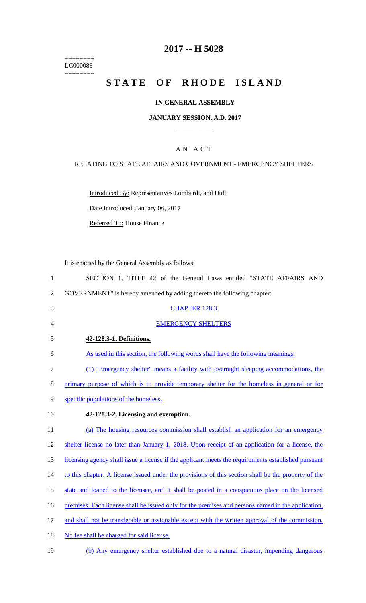======== LC000083  $=$ 

# **2017 -- H 5028**

# STATE OF RHODE ISLAND

### **IN GENERAL ASSEMBLY**

#### **JANUARY SESSION, A.D. 2017 \_\_\_\_\_\_\_\_\_\_\_\_**

### A N A C T

#### RELATING TO STATE AFFAIRS AND GOVERNMENT - EMERGENCY SHELTERS

Introduced By: Representatives Lombardi, and Hull

Date Introduced: January 06, 2017

Referred To: House Finance

It is enacted by the General Assembly as follows:

| $\mathbf{1}$   | SECTION 1. TITLE 42 of the General Laws entitled "STATE AFFAIRS AND                                 |
|----------------|-----------------------------------------------------------------------------------------------------|
| $\overline{2}$ | GOVERNMENT" is hereby amended by adding thereto the following chapter:                              |
| 3              | <b>CHAPTER 128.3</b>                                                                                |
| $\overline{4}$ | <b>EMERGENCY SHELTERS</b>                                                                           |
| 5              | 42-128.3-1. Definitions.                                                                            |
| 6              | As used in this section, the following words shall have the following meanings:                     |
| $\tau$         | (1) "Emergency shelter" means a facility with overnight sleeping accommodations, the                |
| $8\,$          | primary purpose of which is to provide temporary shelter for the homeless in general or for         |
| 9              | specific populations of the homeless.                                                               |
| 10             | 42-128.3-2. Licensing and exemption.                                                                |
| 11             | (a) The housing resources commission shall establish an application for an emergency                |
| 12             | shelter license no later than January 1, 2018. Upon receipt of an application for a license, the    |
| 13             | licensing agency shall issue a license if the applicant meets the requirements established pursuant |
| 14             | to this chapter. A license issued under the provisions of this section shall be the property of the |
| 15             | state and loaned to the licensee, and it shall be posted in a conspicuous place on the licensed     |
| 16             | premises. Each license shall be issued only for the premises and persons named in the application,  |
| 17             | and shall not be transferable or assignable except with the written approval of the commission.     |
| 18             | No fee shall be charged for said license.                                                           |
| 19             | (b) Any emergency shelter established due to a natural disaster, impending dangerous                |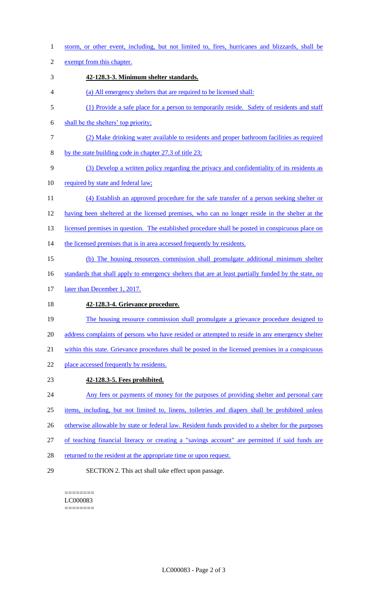1 storm, or other event, including, but not limited to, fires, hurricanes and blizzards, shall be

2 exempt from this chapter.

- 3 **42-128.3-3. Minimum shelter standards.**
- 4 (a) All emergency shelters that are required to be licensed shall:
- 5 (1) Provide a safe place for a person to temporarily reside. Safety of residents and staff
- 6 shall be the shelters' top priority;
- 7 (2) Make drinking water available to residents and proper bathroom facilities as required
- 8 by the state building code in chapter 27.3 of title 23;
- 9 (3) Develop a written policy regarding the privacy and confidentiality of its residents as
- 10 required by state and federal law;
- 11 (4) Establish an approved procedure for the safe transfer of a person seeking shelter or 12 having been sheltered at the licensed premises, who can no longer reside in the shelter at the
- 13 licensed premises in question. The established procedure shall be posted in conspicuous place on
- 14 the licensed premises that is in area accessed frequently by residents.
- 15 (b) The housing resources commission shall promulgate additional minimum shelter
- 16 standards that shall apply to emergency shelters that are at least partially funded by the state, no
- 17 later than December 1, 2017.
- 18 **42-128.3-4. Grievance procedure.**
- 19 The housing resource commission shall promulgate a grievance procedure designed to 20 address complaints of persons who have resided or attempted to reside in any emergency shelter
- 21 within this state. Grievance procedures shall be posted in the licensed premises in a conspicuous
- 22 place accessed frequently by residents.
- 23 **42-128.3-5. Fees prohibited.**
- 24 Any fees or payments of money for the purposes of providing shelter and personal care
- 25 items, including, but not limited to, linens, toiletries and diapers shall be prohibited unless
- 26 otherwise allowable by state or federal law. Resident funds provided to a shelter for the purposes
- 27 of teaching financial literacy or creating a "savings account" are permitted if said funds are
- 28 returned to the resident at the appropriate time or upon request.
- 29 SECTION 2. This act shall take effect upon passage.

======== LC000083 ========